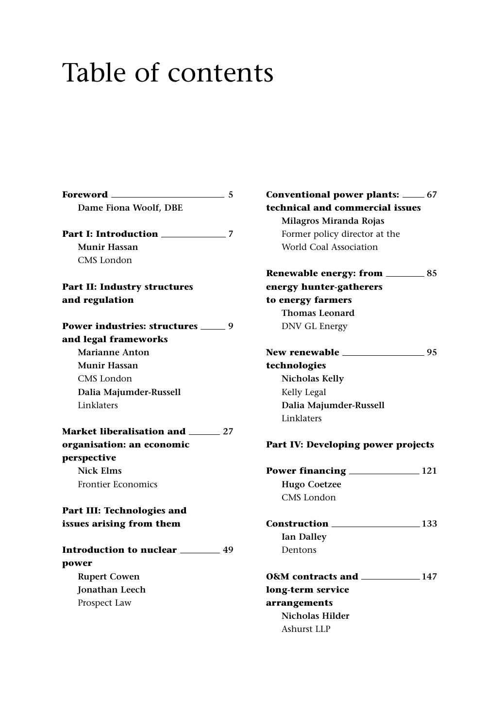## Table of contents

**Foreword 5 Dame Fiona Woolf, DBE Part I: Introduction 7 Munir Hassan** CMS London **Part II: Industry structures and regulation Power industries: structures \_\_\_\_\_ 9 and legal frameworks Marianne Anton Munir Hassan** CMS London **Dalia Majumder-Russell** Linklaters **Market liberalisation and 27 organisation: an economic perspective Nick Elms** Frontier Economics **Part III: Technologies and issues arising from them Introduction to nuclear 49 power Rupert Cowen Jonathan Leech** Prospect Law

**Conventional power plants: 67 technical and commercial issues Milagros Miranda Rojas** Former policy director at the World Coal Association **Renewable energy: from \_\_\_\_\_\_\_\_\_ 85 energy hunter-gatherers to energy farmers Thomas Leonard** DNV GL Energy **New renewable 95 technologies Nicholas Kelly** Kelly Legal **Dalia Majumder-Russell** Linklaters **Part IV: Developing power projects Power financing 121 Hugo Coetzee** CMS London **Construction 133 Ian Dalley** Dentons **O&M contracts and 147 long-term service arrangements Nicholas Hilder** Ashurst LLP